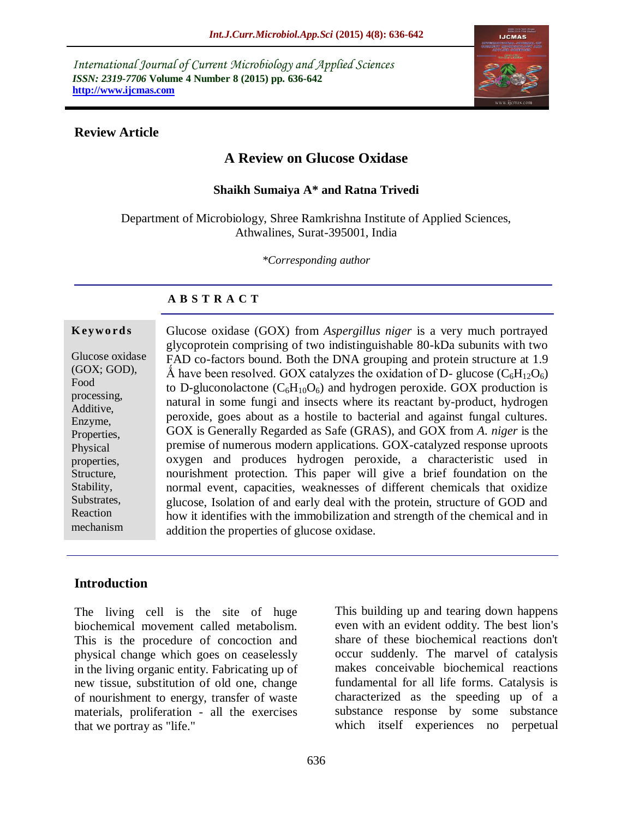*International Journal of Current Microbiology and Applied Sciences ISSN: 2319-7706* **Volume 4 Number 8 (2015) pp. 636-642 http://www.ijcmas.com** 



### **Review Article**

# **A Review on Glucose Oxidase**

#### **Shaikh Sumaiya A\* and Ratna Trivedi**

Department of Microbiology, Shree Ramkrishna Institute of Applied Sciences, Athwalines, Surat-395001, India

*\*Corresponding author*

### **A B S T R A C T**

#### **K ey w o rd s**

Glucose oxidase (GOX; GOD), Food processing, Additive, Enzyme, Properties, Physical properties, Structure, Stability, Substrates, Reaction mechanism

Glucose oxidase (GOX) from *Aspergillus niger* is a very much portrayed glycoprotein comprising of two indistinguishable 80-kDa subunits with two FAD co-factors bound. Both the DNA grouping and protein structure at 1.9 Å have been resolved. GOX catalyzes the oxidation of D- glucose ( $C_6H_{12}O_6$ ) to D-gluconolactone  $(C_6H_{10}O_6)$  and hydrogen peroxide. GOX production is natural in some fungi and insects where its reactant by-product, hydrogen peroxide, goes about as a hostile to bacterial and against fungal cultures. GOX is Generally Regarded as Safe (GRAS), and GOX from *A. niger* is the premise of numerous modern applications. GOX-catalyzed response uproots oxygen and produces hydrogen peroxide, a characteristic used in nourishment protection. This paper will give a brief foundation on the normal event, capacities, weaknesses of different chemicals that oxidize glucose, Isolation of and early deal with the protein, structure of GOD and how it identifies with the immobilization and strength of the chemical and in addition the properties of glucose oxidase.

### **Introduction**

The living cell is the site of huge biochemical movement called metabolism. This is the procedure of concoction and physical change which goes on ceaselessly in the living organic entity. Fabricating up of new tissue, substitution of old one, change of nourishment to energy, transfer of waste materials, proliferation - all the exercises that we portray as "life."

This building up and tearing down happens even with an evident oddity. The best lion's share of these biochemical reactions don't occur suddenly. The marvel of catalysis makes conceivable biochemical reactions fundamental for all life forms. Catalysis is characterized as the speeding up of a substance response by some substance which itself experiences no perpetual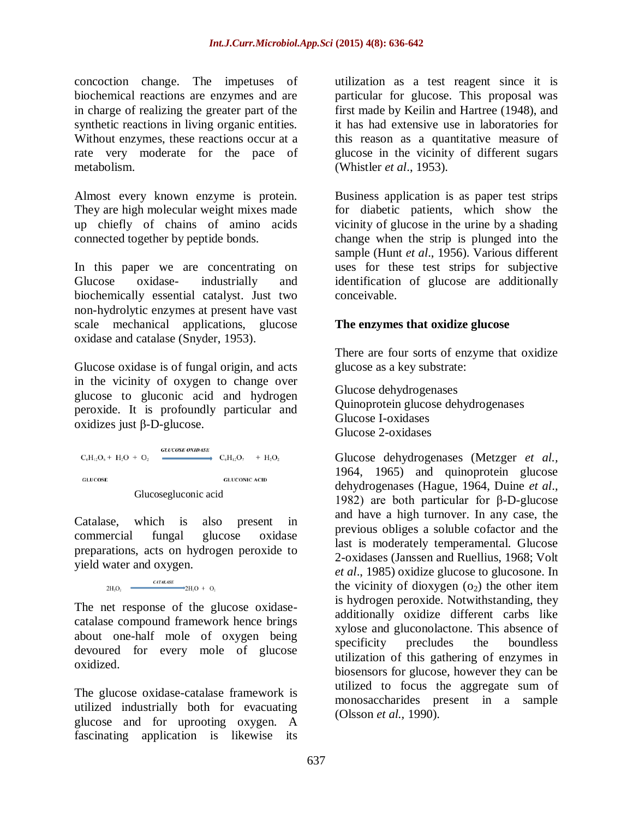concoction change. The impetuses of biochemical reactions are enzymes and are in charge of realizing the greater part of the synthetic reactions in living organic entities. Without enzymes, these reactions occur at a rate very moderate for the pace of metabolism.

Almost every known enzyme is protein. They are high molecular weight mixes made up chiefly of chains of amino acids connected together by peptide bonds.

In this paper we are concentrating on Glucose oxidase- industrially and biochemically essential catalyst. Just two non-hydrolytic enzymes at present have vast scale mechanical applications, glucose oxidase and catalase (Snyder, 1953).

Glucose oxidase is of fungal origin, and acts in the vicinity of oxygen to change over glucose to gluconic acid and hydrogen peroxide. It is profoundly particular and oxidizes just β-D-glucose.

**GLUCOSE OXIDASE**  $C_6H_{12}O_6 + H_2O + O_2$  $\rightarrow$  C<sub>0</sub>H<sub>12</sub>O<sub>7</sub> + H<sub>2</sub>O<sub>2</sub> **GLUCOSE GLUCONIC ACID** Glucosegluconic acid

Catalase, which is also present in commercial fungal glucose oxidase preparations, acts on hydrogen peroxide to yield water and oxygen.

$$
CH_2O_2 \quad \xrightarrow{CATALASE} 2H_2O + O_2
$$

The net response of the glucose oxidasecatalase compound framework hence brings about one-half mole of oxygen being devoured for every mole of glucose oxidized.

The glucose oxidase-catalase framework is utilized industrially both for evacuating glucose and for uprooting oxygen. A fascinating application is likewise its

utilization as a test reagent since it is particular for glucose. This proposal was first made by Keilin and Hartree (1948), and it has had extensive use in laboratories for this reason as a quantitative measure of glucose in the vicinity of different sugars (Whistler *et al*., 1953).

Business application is as paper test strips for diabetic patients, which show the vicinity of glucose in the urine by a shading change when the strip is plunged into the sample (Hunt *et al*., 1956). Various different uses for these test strips for subjective identification of glucose are additionally conceivable.

## **The enzymes that oxidize glucose**

There are four sorts of enzyme that oxidize glucose as a key substrate:

Glucose dehydrogenases Quinoprotein glucose dehydrogenases Glucose I-oxidases Glucose 2-oxidases

Glucose dehydrogenases (Metzger *et al.,* 1964, 1965) and quinoprotein glucose dehydrogenases (Hague, 1964, Duine *et al*., 1982) are both particular for β-D-glucose and have a high turnover. In any case, the previous obliges a soluble cofactor and the last is moderately temperamental. Glucose 2-oxidases (Janssen and Ruellius, 1968; Volt *et al*., 1985) oxidize glucose to glucosone. In the vicinity of dioxygen  $(o_2)$  the other item is hydrogen peroxide. Notwithstanding, they additionally oxidize different carbs like xylose and gluconolactone. This absence of specificity precludes the boundless utilization of this gathering of enzymes in biosensors for glucose, however they can be utilized to focus the aggregate sum of monosaccharides present in a sample (Olsson *et al.,* 1990).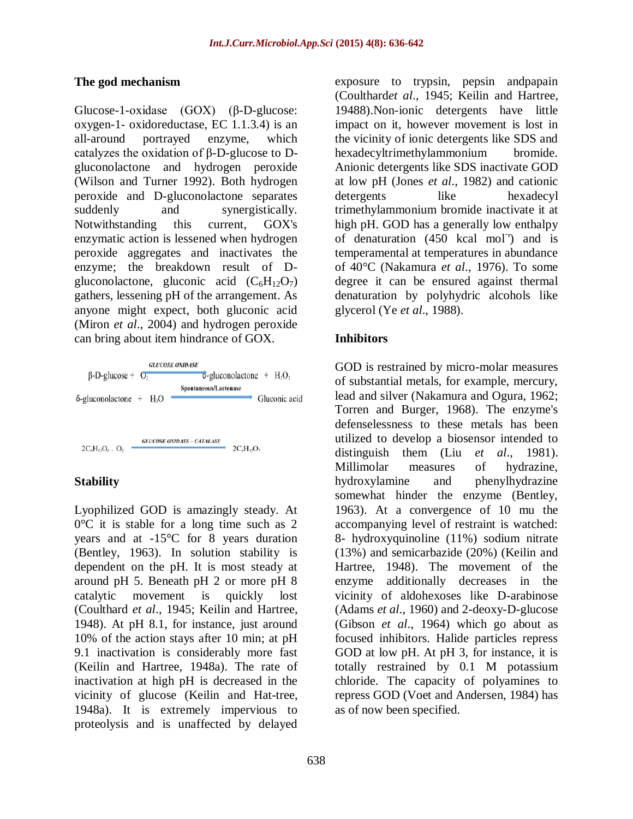### **The god mechanism**

Glucose-1-oxidase (GOX) (β-D-glucose: oxygen-1- oxidoreductase, EC 1.1.3.4) is an all-around portrayed enzyme, which catalyzes the oxidation of β-D-glucose to Dgluconolactone and hydrogen peroxide (Wilson and Turner 1992). Both hydrogen peroxide and D-gluconolactone separates suddenly and synergistically. Notwithstanding this current, GOX's enzymatic action is lessened when hydrogen peroxide aggregates and inactivates the enzyme; the breakdown result of Dgluconolactone, gluconic acid  $(C_6H_{12}O_7)$ gathers, lessening pH of the arrangement. As anyone might expect, both gluconic acid (Miron *et al*., 2004) and hydrogen peroxide can bring about item hindrance of GOX.



# **Stability**

Lyophilized GOD is amazingly steady. At 0°C it is stable for a long time such as 2 years and at -15°C for 8 years duration (Bentley, 1963). In solution stability is dependent on the pH. It is most steady at around pH 5. Beneath pH 2 or more pH 8 catalytic movement is quickly lost (Coulthard *et al*., 1945; Keilin and Hartree, 1948). At pH 8.1, for instance, just around 10% of the action stays after 10 min; at pH 9.1 inactivation is considerably more fast (Keilin and Hartree, 1948a). The rate of inactivation at high pH is decreased in the vicinity of glucose (Keilin and Hat-tree, 1948a). It is extremely impervious to proteolysis and is unaffected by delayed

exposure to trypsin, pepsin andpapain (Coulthard*et al*., 1945; Keilin and Hartree, 19488).Non-ionic detergents have little impact on it, however movement is lost in the vicinity of ionic detergents like SDS and hexadecyltrimethylammonium bromide. Anionic detergents like SDS inactivate GOD at low pH (Jones *et al*., 1982) and cationic detergents like hexadecyl trimethylammonium bromide inactivate it at high pH. GOD has a generally low enthalpy of denaturation  $(450 \text{ kcal mol}^{-1})$  and is temperamental at temperatures in abundance of 40°C (Nakamura *et al*., 1976). To some degree it can be ensured against thermal denaturation by polyhydric alcohols like glycerol (Ye *et al*., 1988).

### **Inhibitors**

GOD is restrained by micro-molar measures of substantial metals, for example, mercury, lead and silver (Nakamura and Ogura, 1962; Torren and Burger, 1968). The enzyme's defenselessness to these metals has been utilized to develop a biosensor intended to distinguish them (Liu *et al*., 1981). Millimolar measures of hydrazine, hydroxylamine and phenylhydrazine somewhat hinder the enzyme (Bentley, 1963). At a convergence of 10 mu the accompanying level of restraint is watched: 8- hydroxyquinoline (11%) sodium nitrate (13%) and semicarbazide (20%) (Keilin and Hartree, 1948). The movement of the enzyme additionally decreases in the vicinity of aldohexoses like D-arabinose (Adams *et al*., 1960) and 2-deoxy-D-glucose (Gibson *et al*., 1964) which go about as focused inhibitors. Halide particles repress GOD at low pH. At pH 3, for instance, it is totally restrained by 0.1 M potassium chloride. The capacity of polyamines to repress GOD (Voet and Andersen, 1984) has as of now been specified.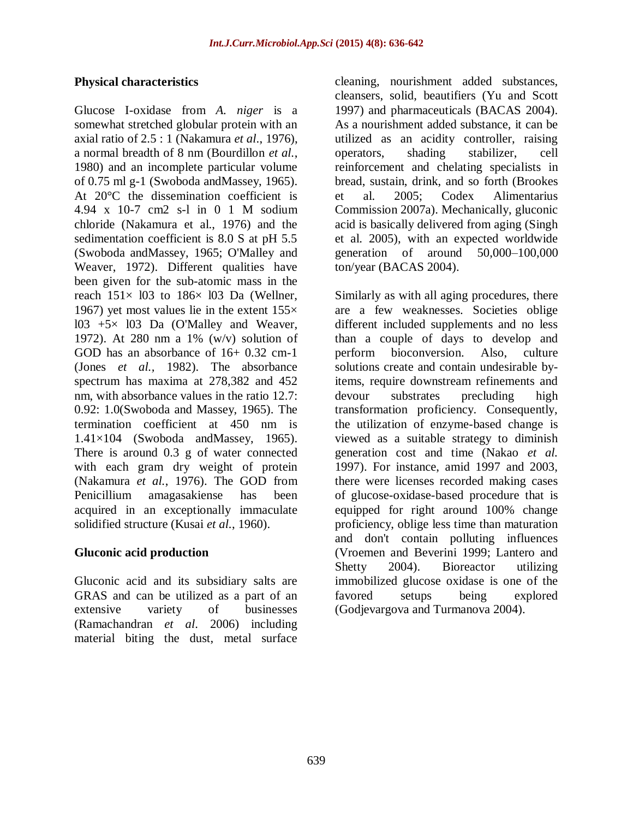## **Physical characteristics**

Glucose I-oxidase from *A. niger* is a somewhat stretched globular protein with an axial ratio of 2.5 : 1 (Nakamura *et al*., 1976), a normal breadth of 8 nm (Bourdillon *et al.*, 1980) and an incomplete particular volume of 0.75 ml g-1 (Swoboda andMassey, 1965). At 20°C the dissemination coefficient is 4.94 x 10-7 cm2 s-l in 0 1 M sodium chloride (Nakamura et al., 1976) and the sedimentation coefficient is 8.0 S at pH 5.5 (Swoboda andMassey, 1965; O'Malley and Weaver, 1972). Different qualities have been given for the sub-atomic mass in the reach  $151 \times 103$  to  $186 \times 103$  Da (Wellner, 1967) yet most values lie in the extent  $155\times$ l03 +5× l03 Da (O'Malley and Weaver, 1972). At 280 nm a 1% (w/v) solution of GOD has an absorbance of 16+ 0.32 cm-1 (Jones *et al.,* 1982). The absorbance spectrum has maxima at 278,382 and 452 nm, with absorbance values in the ratio 12.7: 0.92: 1.0(Swoboda and Massey, 1965). The termination coefficient at 450 nm is 1.41×104 (Swoboda andMassey, 1965). There is around 0.3 g of water connected with each gram dry weight of protein (Nakamura *et al.*, 1976). The GOD from Penicillium amagasakiense has been acquired in an exceptionally immaculate solidified structure (Kusai *et al.*, 1960).

# **Gluconic acid production**

Gluconic acid and its subsidiary salts are GRAS and can be utilized as a part of an extensive variety of businesses (Ramachandran *et al*. 2006) including material biting the dust, metal surface

cleaning, nourishment added substances, cleansers, solid, beautifiers (Yu and Scott 1997) and pharmaceuticals (BACAS 2004). As a nourishment added substance, it can be utilized as an acidity controller, raising operators, shading stabilizer, cell reinforcement and chelating specialists in bread, sustain, drink, and so forth (Brookes et al. 2005; Codex Alimentarius Commission 2007a). Mechanically, gluconic acid is basically delivered from aging (Singh et al. 2005), with an expected worldwide generation of around 50,000–100,000 ton/year (BACAS 2004).

Similarly as with all aging procedures, there are a few weaknesses. Societies oblige different included supplements and no less than a couple of days to develop and perform bioconversion. Also, culture solutions create and contain undesirable byitems, require downstream refinements and devour substrates precluding high transformation proficiency. Consequently, the utilization of enzyme-based change is viewed as a suitable strategy to diminish generation cost and time (Nakao *et al.* 1997). For instance, amid 1997 and 2003, there were licenses recorded making cases of glucose-oxidase-based procedure that is equipped for right around 100% change proficiency, oblige less time than maturation and don't contain polluting influences (Vroemen and Beverini 1999; Lantero and Shetty 2004). Bioreactor utilizing immobilized glucose oxidase is one of the favored setups being explored (Godjevargova and Turmanova 2004).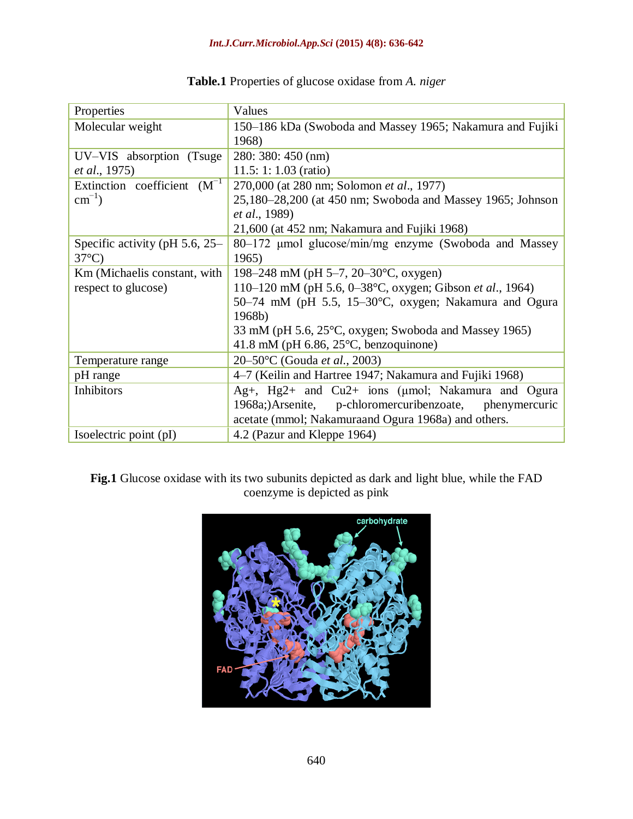#### *Int.J.Curr.Microbiol.App.Sci* **(2015) 4(8): 636-642**

| Properties                          | Values                                                     |
|-------------------------------------|------------------------------------------------------------|
| Molecular weight                    | 150–186 kDa (Swoboda and Massey 1965; Nakamura and Fujiki  |
|                                     | 1968)                                                      |
| UV-VIS absorption (Tsuge            | $280:380:450$ (nm)                                         |
| <i>et al.</i> , 1975)               | 11.5: 1: $1.03$ (ratio)                                    |
| Extinction coefficient $(M^{-1})$   | 270,000 (at 280 nm; Solomon et al., 1977)                  |
| $\text{cm}^{-1}$ )                  | 25,180–28,200 (at 450 nm; Swoboda and Massey 1965; Johnson |
|                                     | <i>et al.</i> , 1989)                                      |
|                                     | 21,600 (at 452 nm; Nakamura and Fujiki 1968)               |
| Specific activity (pH $5.6$ , $25-$ | 80–172 μmol glucose/min/mg enzyme (Swoboda and Massey      |
| $37^{\circ}$ C)                     | 1965)                                                      |
| Km (Michaelis constant, with        | 198–248 mM (pH 5–7, 20–30 $\degree$ C, oxygen)             |
| respect to glucose)                 | 110–120 mM (pH 5.6, 0–38°C, oxygen; Gibson et al., 1964)   |
|                                     | 50–74 mM (pH 5.5, 15–30°C, oxygen; Nakamura and Ogura      |
|                                     | 1968b)                                                     |
|                                     | 33 mM (pH 5.6, 25°C, oxygen; Swoboda and Massey 1965)      |
|                                     | 41.8 mM (pH 6.86, $25^{\circ}$ C, benzoquinone)            |
| Temperature range                   | 20–50°C (Gouda et al., 2003)                               |
| pH range                            | 4–7 (Keilin and Hartree 1947; Nakamura and Fujiki 1968)    |
| Inhibitors                          | Ag+, Hg2+ and Cu2+ ions (µmol; Nakamura and Ogura          |
|                                     | 1968a;)Arsenite, p-chloromercuribenzoate, phenymercuric    |
|                                     | acetate (mmol; Nakamuraand Ogura 1968a) and others.        |
| Isoelectric point (pI)              | 4.2 (Pazur and Kleppe 1964)                                |

# **Table.1** Properties of glucose oxidase from *A. niger*

**Fig.1** Glucose oxidase with its two subunits depicted as dark and light blue, while the FAD coenzyme is depicted as pink

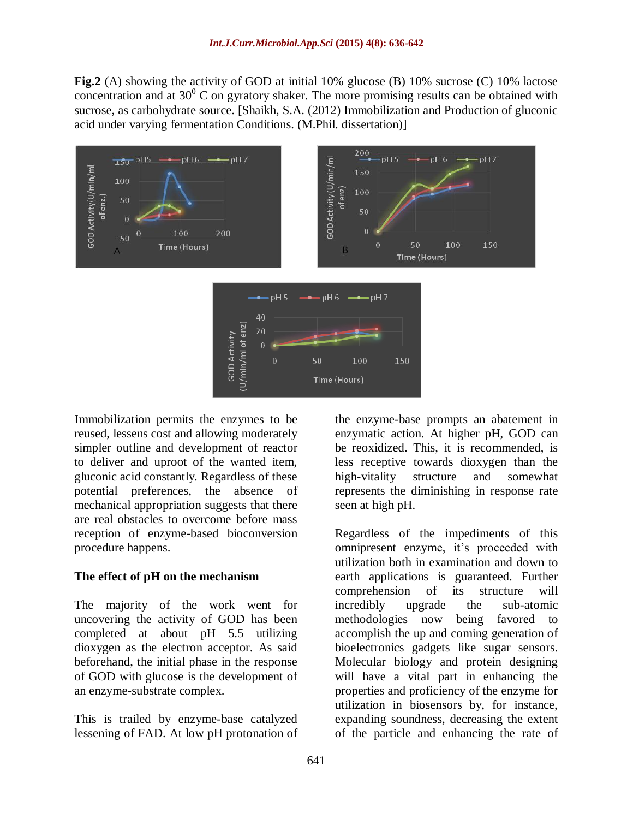**Fig.2** (A) showing the activity of GOD at initial 10% glucose (B) 10% sucrose (C) 10% lactose concentration and at  $30^{\circ}$  C on gyratory shaker. The more promising results can be obtained with sucrose, as carbohydrate source. [Shaikh, S.A. (2012) Immobilization and Production of gluconic acid under varying fermentation Conditions. (M.Phil. dissertation)]



Immobilization permits the enzymes to be reused, lessens cost and allowing moderately simpler outline and development of reactor to deliver and uproot of the wanted item, gluconic acid constantly. Regardless of these potential preferences, the absence of mechanical appropriation suggests that there are real obstacles to overcome before mass reception of enzyme-based bioconversion procedure happens.

#### **The effect of pH on the mechanism**

The majority of the work went for uncovering the activity of GOD has been completed at about pH 5.5 utilizing dioxygen as the electron acceptor. As said beforehand, the initial phase in the response of GOD with glucose is the development of an enzyme-substrate complex.

This is trailed by enzyme-base catalyzed lessening of FAD. At low pH protonation of the enzyme-base prompts an abatement in enzymatic action. At higher pH, GOD can be reoxidized. This, it is recommended, is less receptive towards dioxygen than the high-vitality structure and somewhat represents the diminishing in response rate seen at high pH.

Regardless of the impediments of this omnipresent enzyme, it's proceeded with utilization both in examination and down to earth applications is guaranteed. Further comprehension of its structure will incredibly upgrade the sub-atomic methodologies now being favored to accomplish the up and coming generation of bioelectronics gadgets like sugar sensors. Molecular biology and protein designing will have a vital part in enhancing the properties and proficiency of the enzyme for utilization in biosensors by, for instance, expanding soundness, decreasing the extent of the particle and enhancing the rate of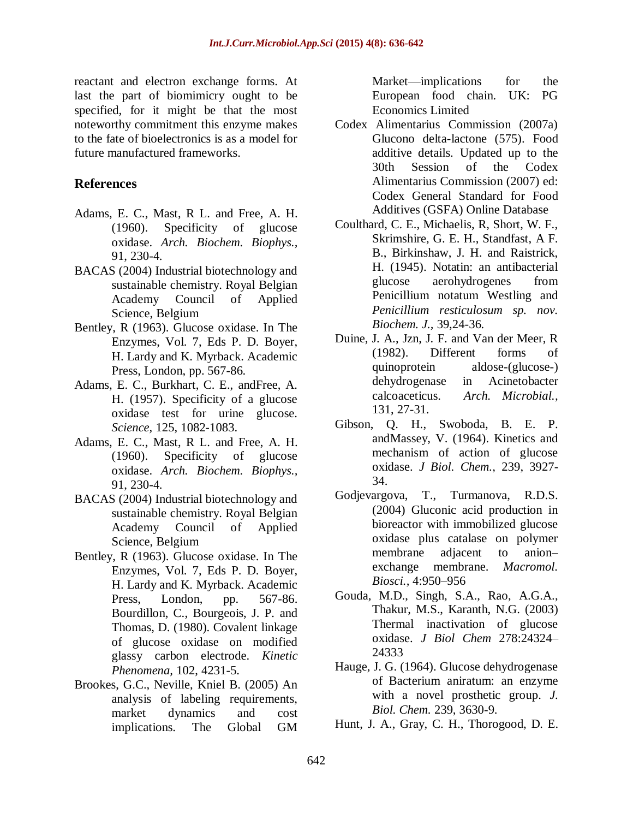reactant and electron exchange forms. At last the part of biomimicry ought to be specified, for it might be that the most noteworthy commitment this enzyme makes to the fate of bioelectronics is as a model for future manufactured frameworks.

# **References**

- Adams, E. C., Mast, R L. and Free, A. H. (1960). Specificity of glucose oxidase. *Arch. Biochem. Biophys.,*  91, 230-4.
- BACAS (2004) Industrial biotechnology and sustainable chemistry. Royal Belgian Academy Council of Applied Science, Belgium
- Bentley, R (1963). Glucose oxidase. In The Enzymes, Vol. 7, Eds P. D. Boyer, H. Lardy and K. Myrback. Academic Press, London, pp. 567-86.
- Adams, E. C., Burkhart, C. E., andFree, A. H. (1957). Specificity of a glucose oxidase test for urine glucose. *Science,* 125, 1082-1083.
- Adams, E. C., Mast, R L. and Free, A. H. (1960). Specificity of glucose oxidase. *Arch. Biochem. Biophys.,*  91, 230-4.
- BACAS (2004) Industrial biotechnology and sustainable chemistry. Royal Belgian Academy Council of Applied Science, Belgium
- Bentley, R (1963). Glucose oxidase. In The Enzymes, Vol. 7, Eds P. D. Boyer, H. Lardy and K. Myrback. Academic Press, London, pp. 567-86. Bourdillon, C., Bourgeois, J. P. and Thomas, D. (1980). Covalent linkage of glucose oxidase on modified glassy carbon electrode. *Kinetic Phenomena,* 102, 4231-5.
- Brookes, G.C., Neville, Kniel B. (2005) An analysis of labeling requirements, market dynamics and cost implications. The Global GM

Market—implications for the European food chain. UK: PG Economics Limited

- Codex Alimentarius Commission (2007a) Glucono delta-lactone (575). Food additive details. Updated up to the 30th Session of the Codex Alimentarius Commission (2007) ed: Codex General Standard for Food Additives (GSFA) Online Database
- Coulthard, C. E., Michaelis, R, Short, W. F., Skrimshire, G. E. H., Standfast, A F. B., Birkinshaw, J. H. and Raistrick, H. (1945). Notatin: an antibacterial glucose aerohydrogenes from Penicillium notatum Westling and *Penicillium resticulosum sp. nov. Biochem. J.,* 39,24-36.
- Duine, J. A., Jzn, J. F. and Van der Meer, R (1982). Different forms of quinoprotein aldose-(glucose-) dehydrogenase in Acinetobacter calcoaceticus. *Arch. Microbial.,*  131, 27-31.
- Gibson, Q. H., Swoboda, B. E. P. andMassey, V. (1964). Kinetics and mechanism of action of glucose oxidase. *J Biol. Chem.,* 239, 3927- 34.
- Godjevargova, T., Turmanova, R.D.S. (2004) Gluconic acid production in bioreactor with immobilized glucose oxidase plus catalase on polymer membrane adjacent to anion– exchange membrane. *Macromol. Biosci.,* 4:950–956
- Gouda, M.D., Singh, S.A., Rao, A.G.A., Thakur, M.S., Karanth, N.G. (2003) Thermal inactivation of glucose oxidase. *J Biol Chem* 278:24324– 24333
- Hauge, J. G. (1964). Glucose dehydrogenase of Bacterium aniratum: an enzyme with a novel prosthetic group. *J. Biol. Chem.* 239, 3630-9.
- Hunt, J. A., Gray, C. H., Thorogood, D. E.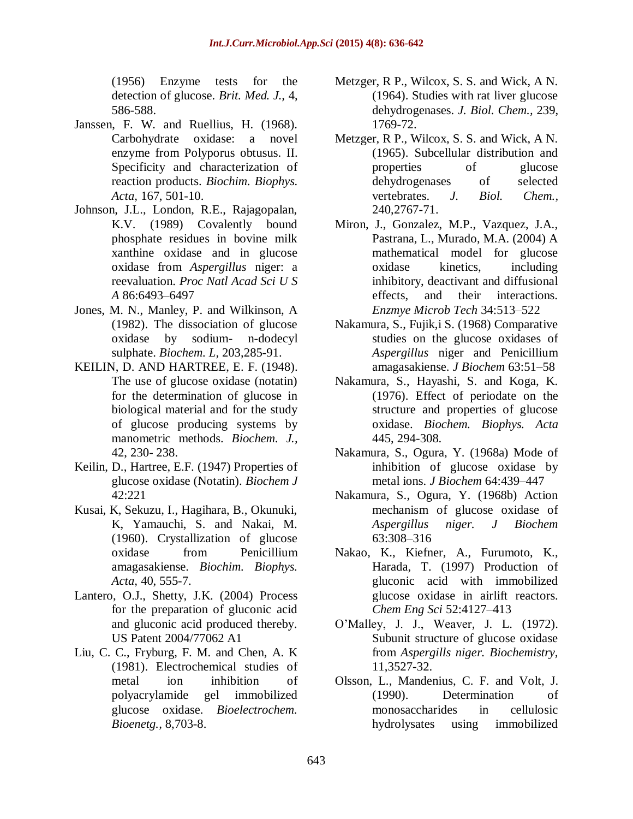(1956) Enzyme tests for the detection of glucose. *Brit. Med. J.,* 4, 586-588.

- Janssen, F. W. and Ruellius, H. (1968). Carbohydrate oxidase: a novel enzyme from Polyporus obtusus. II. Specificity and characterization of reaction products. *Biochim. Biophys. Acta,* 167, 501-10.
- Johnson, J.L., London, R.E., Rajagopalan, K.V. (1989) Covalently bound phosphate residues in bovine milk xanthine oxidase and in glucose oxidase from *Aspergillus* niger: a reevaluation. *Proc Natl Acad Sci U S A* 86:6493–6497
- Jones, M. N., Manley, P. and Wilkinson, A (1982). The dissociation of glucose oxidase by sodium- n-dodecyl sulphate. *Biochem. L,* 203,285-91.
- KEILIN, D. AND HARTREE, E. F. (1948). The use of glucose oxidase (notatin) for the determination of glucose in biological material and for the study of glucose producing systems by manometric methods. *Biochem. J.,*  42, 230- 238.
- Keilin, D., Hartree, E.F. (1947) Properties of glucose oxidase (Notatin). *Biochem J*  42:221
- Kusai, K, Sekuzu, I., Hagihara, B., Okunuki, K, Yamauchi, S. and Nakai, M. (1960). Crystallization of glucose oxidase from Penicillium amagasakiense. *Biochim. Biophys. Acta,* 40, 555-7.
- Lantero, O.J., Shetty, J.K. (2004) Process for the preparation of gluconic acid and gluconic acid produced thereby. US Patent 2004/77062 A1
- Liu, C. C., Fryburg, F. M. and Chen, A. K (1981). Electrochemical studies of metal ion inhibition of polyacrylamide gel immobilized glucose oxidase. *Bioelectrochem. Bioenetg.,* 8,703-8.
- Metzger, R P., Wilcox, S. S. and Wick, A N. (1964). Studies with rat liver glucose dehydrogenases. *J. Biol. Chem.,* 239, 1769-72.
- Metzger, R P., Wilcox, S. S. and Wick, A N. (1965). Subcellular distribution and properties of glucose dehydrogenases of selected vertebrates. *J. Biol. Chem.,*  240,2767-71.
- Miron, J., Gonzalez, M.P., Vazquez, J.A., Pastrana, L., Murado, M.A. (2004) A mathematical model for glucose oxidase kinetics, including inhibitory, deactivant and diffusional effects, and their interactions. *Enzmye Microb Tech* 34:513–522
- Nakamura, S., Fujik,i S. (1968) Comparative studies on the glucose oxidases of *Aspergillus* niger and Penicillium amagasakiense. *J Biochem* 63:51–58
- Nakamura, S., Hayashi, S. and Koga, K. (1976). Effect of periodate on the structure and properties of glucose oxidase. *Biochem. Biophys. Acta*  445, 294-308.
- Nakamura, S., Ogura, Y. (1968a) Mode of inhibition of glucose oxidase by metal ions. *J Biochem* 64:439–447
- Nakamura, S., Ogura, Y. (1968b) Action mechanism of glucose oxidase of *Aspergillus niger. J Biochem*  63:308–316
- Nakao, K., Kiefner, A., Furumoto, K., Harada, T. (1997) Production of gluconic acid with immobilized glucose oxidase in airlift reactors. *Chem Eng Sci* 52:4127–413
- O'Malley, J. J., Weaver, J. L. (1972). Subunit structure of glucose oxidase from *Aspergills niger. Biochemistry,*  11,3527-32.
- Olsson, L., Mandenius, C. F. and Volt, J. (1990). Determination of monosaccharides in cellulosic hydrolysates using immobilized